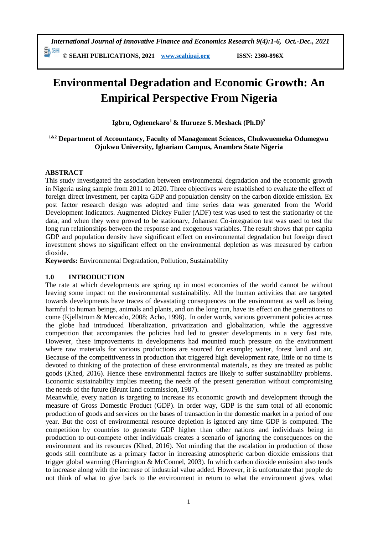*International Journal of Innovative Finance and Economics Research 9(4):1-6, Oct.-Dec., 2021*

勤細 **© SEAHI PUBLICATIONS, 2021 [www.seahipaj.org](http://www.seahipaj.org/) ISSN: 2360-896X**

# **Environmental Degradation and Economic Growth: An Empirical Perspective From Nigeria**

**Igbru, Oghenekaro<sup>1</sup>& Ifurueze S. Meshack (Ph.D)<sup>2</sup>**

# **1&2 Department of Accountancy, Faculty of Management Sciences, Chukwuemeka Odumegwu Ojukwu University, Igbariam Campus, Anambra State Nigeria**

# **ABSTRACT**

This study investigated the association between environmental degradation and the economic growth in Nigeria using sample from 2011 to 2020. Three objectives were established to evaluate the effect of foreign direct investment, per capita GDP and population density on the carbon dioxide emission. Ex post factor research design was adopted and time series data was generated from the World Development Indicators. Augmented Dickey Fuller (ADF) test was used to test the stationarity of the data, and when they were proved to be stationary, Johansen Co-integration test was used to test the long run relationships between the response and exogenous variables. The result shows that per capita GDP and population density have significant effect on environmental degradation but foreign direct investment shows no significant effect on the environmental depletion as was measured by carbon dioxide.

**Keywords:** Environmental Degradation, Pollution, Sustainability

### **1.0 INTRODUCTION**

The rate at which developments are spring up in most economies of the world cannot be without leaving some impact on the environmental sustainability. All the human activities that are targeted towards developments have traces of devastating consequences on the environment as well as being harmful to human beings, animals and plants, and on the long run, have its effect on the generations to come (Kjellstrom & Mercado, 2008; Acho, 1998). In order words, various government policies across the globe had introduced liberalization, privatization and globalization, while the aggressive competition that accompanies the policies had led to greater developments in a very fast rate. However, these improvements in developments had mounted much pressure on the environment where raw materials for various productions are sourced for example; water, forest land and air. Because of the competitiveness in production that triggered high development rate, little or no time is devoted to thinking of the protection of these environmental materials, as they are treated as public goods (Khed, 2016). Hence these environmental factors are likely to suffer sustainability problems. Economic sustainability implies meeting the needs of the present generation without compromising the needs of the future (Brunt land commission, 1987).

Meanwhile, every nation is targeting to increase its economic growth and development through the measure of Gross Domestic Product (GDP). In order way, GDP is the sum total of all economic production of goods and services on the bases of transaction in the domestic market in a period of one year. But the cost of environmental resource depletion is ignored any time GDP is computed. The competition by countries to generate GDP higher than other nations and individuals being in production to out-compete other individuals creates a scenario of ignoring the consequences on the environment and its resources (Khed, 2016). Not minding that the escalation in production of those goods still contribute as a primary factor in increasing atmospheric carbon dioxide emissions that trigger global warming (Harrington & McConnel, 2003). In which carbon dioxide emission also tends to increase along with the increase of industrial value added. However, it is unfortunate that people do not think of what to give back to the environment in return to what the environment gives, what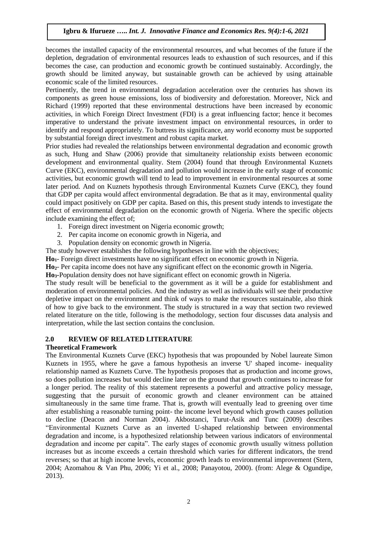becomes the installed capacity of the environmental resources, and what becomes of the future if the depletion, degradation of environmental resources leads to exhaustion of such resources, and if this becomes the case, can production and economic growth be continued sustainably. Accordingly, the growth should be limited anyway, but sustainable growth can be achieved by using attainable economic scale of the limited resources.

Pertinently, the trend in environmental degradation acceleration over the centuries has shown its components as green house emissions, loss of biodiversity and deforestation. Moreover, Nick and Richard (1999) reported that these environmental destructions have been increased by economic activities, in which Foreign Direct Investment (FDI) is a great influencing factor; hence it becomes imperative to understand the private investment impact on environmental resources, in order to identify and respond appropriately. To buttress its significance, any world economy must be supported by substantial foreign direct investment and robust capita market.

Prior studies had revealed the relationships between environmental degradation and economic growth as such, Hung and Shaw (2006) provide that simultaneity relationship exists between economic development and environmental quality. Stem (2004) found that through Environmental Kuznets Curve (EKC), environmental degradation and pollution would increase in the early stage of economic activities, but economic growth will tend to lead to improvement in environmental resources at some later period. And on Kuznets hypothesis through Environmental Kuznets Curve (EKC), they found that GDP per capita would affect environmental degradation. Be that as it may, environmental quality could impact positively on GDP per capita. Based on this, this present study intends to investigate the effect of environmental degradation on the economic growth of Nigeria. Where the specific objects include examining the effect of;

- 1. Foreign direct investment on Nigeria economic growth;
- 2. Per capita income on economic growth in Nigeria, and
- 3. Population density on economic growth in Nigeria.

The study however establishes the following hypotheses in line with the objectives;

**Ho1**- Foreign direct investments have no significant effect on economic growth in Nigeria.

**Ho2**- Per capita income does not have any significant effect on the economic growth in Nigeria.

**Ho3-**Population density does not have significant effect on economic growth in Nigeria.

The study result will be beneficial to the government as it will be a guide for establishment and moderation of environmental policies. And the industry as well as individuals will see their productive depletive impact on the environment and think of ways to make the resources sustainable, also think of how to give back to the environment. The study is structured in a way that section two reviewed related literature on the title, following is the methodology, section four discusses data analysis and interpretation, while the last section contains the conclusion.

### **2.0 REVIEW OF RELATED LITERATURE**

### **Theoretical Framework**

The Environmental Kuznets Curve (EKC) hypothesis that was propounded by Nobel laureate Simon Kuznets in 1955, where he gave a famous hypothesis an inverse 'U' shaped income- inequality relationship named as Kuznets Curve. The hypothesis proposes that as production and income grows, so does pollution increases but would decline later on the ground that growth continues to increase for a longer period. The reality of this statement represents a powerful and attractive policy message, suggesting that the pursuit of economic growth and cleaner environment can be attained simultaneously in the same time frame. That is, growth will eventually lead to greening over time after establishing a reasonable turning point- the income level beyond which growth causes pollution to decline (Deacon and Norman 2004). Akbostanci, Turut-Asik and Tunc (2009) describes "Environmental Kuznets Curve as an inverted U-shaped relationship between environmental degradation and income, is a hypothesized relationship between various indicators of environmental degradation and income per capita". The early stages of economic growth usually witness pollution increases but as income exceeds a certain threshold which varies for different indicators, the trend reverses; so that at high income levels, economic growth leads to environmental improvement (Stern, 2004; Azomahou & Van Phu, 2006; Yi et al., 2008; Panayotou, 2000). (from: Alege & Ogundipe, 2013).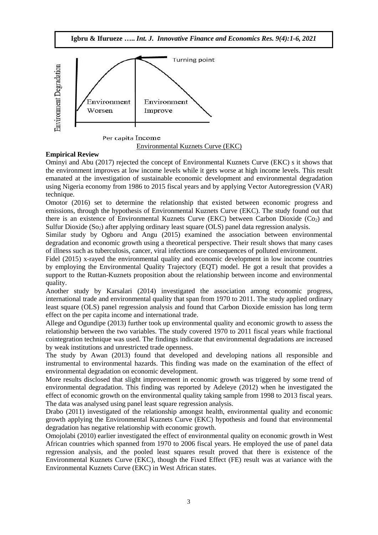

Environmental Kuznets Curve (EKC)

# **Empirical Review**

Ominyi and Abu (2017) rejected the concept of Environmental Kuznets Curve (EKC) s it shows that the environment improves at low income levels while it gets worse at high income levels. This result emanated at the investigation of sustainable economic development and environmental degradation using Nigeria economy from 1986 to 2015 fiscal years and by applying Vector Autoregression (VAR) technique.

Omotor (2016) set to determine the relationship that existed between economic progress and emissions, through the hypothesis of Environmental Kuznets Curve (EKC). The study found out that there is an existence of Environmental Kuznets Curve (EKC) between Carbon Dioxide ( $Co<sub>2</sub>$ ) and Sulfur Dioxide  $(So_2)$  after applying ordinary least square  $(OLS)$  panel data regression analysis.

Similar study by Ogboru and Angu (2015) examined the association between environmental degradation and economic growth using a theoretical perspective. Their result shows that many cases of illness such as tuberculosis, cancer, viral infections are consequences of polluted environment.

Fidel (2015) x-rayed the environmental quality and economic development in low income countries by employing the Environmental Quality Trajectory (EQT) model. He got a result that provides a support to the Ruttan-Kuznets proposition about the relationship between income and environmental quality.

Another study by Karsalari (2014) investigated the association among economic progress, international trade and environmental quality that span from 1970 to 2011. The study applied ordinary least square (OLS) panel regression analysis and found that Carbon Dioxide emission has long term effect on the per capita income and international trade.

Allege and Ogundipe (2013) further took up environmental quality and economic growth to assess the relationship between the two variables. The study covered 1970 to 2011 fiscal years while fractional cointegration technique was used. The findings indicate that environmental degradations are increased by weak institutions and unrestricted trade openness.

The study by Awan (2013) found that developed and developing nations all responsible and instrumental to environmental hazards. This finding was made on the examination of the effect of environmental degradation on economic development.

More results disclosed that slight improvement in economic growth was triggered by some trend of environmental degradation. This finding was reported by Adeleye (2012) when he investigated the effect of economic growth on the environmental quality taking sample from 1998 to 2013 fiscal years. The data was analysed using panel least square regression analysis.

Drabo (2011) investigated of the relationship amongst health, environmental quality and economic growth applying the Environmental Kuznets Curve (EKC) hypothesis and found that environmental degradation has negative relationship with economic growth.

Omojolabi (2010) earlier investigated the effect of environmental quality on economic growth in West African countries which spanned from 1970 to 2006 fiscal years. He employed the use of panel data regression analysis, and the pooled least squares result proved that there is existence of the Environmental Kuznets Curve (EKC), though the Fixed Effect (FE) result was at variance with the Environmental Kuznets Curve (EKC) in West African states.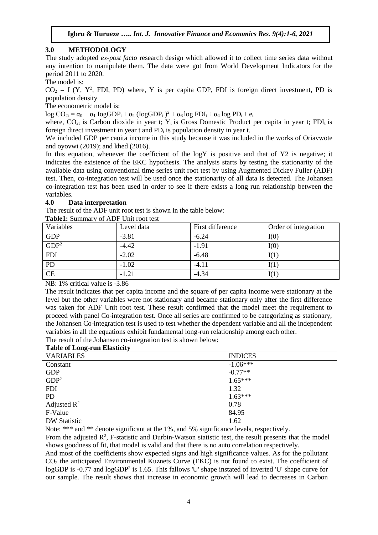# **3.0 METHODOLOGY**

The study adopted *ex-post facto* research design which allowed it to collect time series data without any intention to manipulate them. The data were got from World Development Indicators for the period 2011 to 2020.

The model is:

 $CO<sub>2</sub> = f (Y, Y<sup>2</sup>, FDI, PD)$  where, Y is per capita GDP, FDI is foreign direct investment, PD is population density

The econometric model is:

 $\log CO_{2t} = \alpha_0 + \alpha_1 \log GDP_t + \alpha_2 (\log GDP_t)^2 + \alpha_3 \log FDI_t + \alpha_4 \log PD_t + e_t$ 

where,  $CO_{2t}$  is Carbon dioxide in year t;  $Y_t$  is Gross Domestic Product per capita in year t; FDI<sub>t</sub> is foreign direct investment in year t and  $PD<sub>t</sub>$  is population density in year t.

We included GDP per caoita income in this study because it was included in the works of Oriavwote and oyovwi (2019); and khed (2016).

In this equation, whenever the coefficient of the logY is positive and that of Y2 is negative; it indicates the existence of the EKC hypothesis. The analysis starts by testing the stationarity of the available data using conventional time series unit root test by using Augmented Dickey Fuller (ADF) test. Then, co-integration test will be used once the stationarity of all data is detected. The Johansen co-integration test has been used in order to see if there exists a long run relationship between the variables.

## **4.0 Data interpretation**

The result of the ADF unit root test is shown in the table below:

**Table1:** Summary of ADF Unit root test

| Variables        | Level data | First difference | Order of integration |  |
|------------------|------------|------------------|----------------------|--|
| <b>GDP</b>       | $-3.81$    | $-6.24$          | I(0)                 |  |
| GDP <sup>2</sup> | $-4.42$    | $-1.91$          | I(0)                 |  |
| <b>FDI</b>       | $-2.02$    | $-6.48$          | I(1)                 |  |
| PD               | $-1.02$    | $-4.11$          | I(1)                 |  |
| <b>CE</b>        | $-1.21$    | $-4.34$          | I(1)                 |  |
|                  |            |                  |                      |  |

NB: 1% critical value is -3.86

The result indicates that per capita income and the square of per capita income were stationary at the level but the other variables were not stationary and became stationary only after the first difference was taken for ADF Unit root test. These result confirmed that the model meet the requirement to proceed with panel Co-integration test. Once all series are confirmed to be categorizing as stationary, the Johansen Co-integration test is used to test whether the dependent variable and all the independent variables in all the equations exhibit fundamental long-run relationship among each other.

The result of the Johansen co-integration test is shown below:

# **Table of Long-run Elasticity**

| <b>VARIABLES</b>        | <b>INDICES</b> |
|-------------------------|----------------|
| Constant                | $-1.06***$     |
| <b>GDP</b>              | $-0.77**$      |
| GDP <sup>2</sup>        | $1.65***$      |
| <b>FDI</b>              | 1.32           |
| <b>PD</b>               | $1.63***$      |
| Adjusted $\mathbb{R}^2$ | 0.78           |
| F-Value                 | 84.95          |
| <b>DW Statistic</b>     | 1.62           |

Note: \*\*\* and \*\* denote significant at the 1%, and 5% significance levels, respectively.

From the adjusted  $\mathbb{R}^2$ , F-statistic and Durbin-Watson statistic test, the result presents that the model shows goodness of fit, that model is valid and that there is no auto correlation respectively.

And most of the coefficients show expected signs and high significance values. As for the pollutant CO<sup>2</sup> the anticipated Environmental Kuznets Curve (EKC) is not found to exist. The coefficient of logGDP is -0.77 and logGDP<sup>2</sup> is 1.65. This fallows 'U' shape instated of inverted 'U' shape curve for our sample. The result shows that increase in economic growth will lead to decreases in Carbon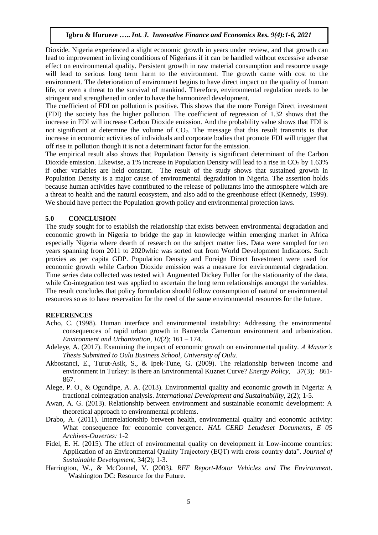Dioxide. Nigeria experienced a slight economic growth in years under review, and that growth can lead to improvement in living conditions of Nigerians if it can be handled without excessive adverse effect on environmental quality. Persistent growth in raw material consumption and resource usage will lead to serious long term harm to the environment. The growth came with cost to the environment. The deterioration of environment begins to have direct impact on the quality of human life, or even a threat to the survival of mankind. Therefore, environmental regulation needs to be stringent and strengthened in order to have the harmonized development.

The coefficient of FDI on pollution is positive. This shows that the more Foreign Direct investment (FDI) the society has the higher pollution. The coefficient of regression of 1.32 shows that the increase in FDI will increase Carbon Dioxide emission. And the probability value shows that FDI is not significant at determine the volume of  $CO<sub>2</sub>$ . The message that this result transmits is that increase in economic activities of individuals and corporate bodies that promote FDI will trigger that off rise in pollution though it is not a determinant factor for the emission.

The empirical result also shows that Population Density is significant determinant of the Carbon Dioxide emission. Likewise, a 1% increase in Population Density will lead to a rise in  $CO<sub>2</sub>$  by 1.63% if other variables are held constant. The result of the study shows that sustained growth in Population Density is a major cause of environmental degradation in Nigeria. The assertion holds because human activities have contributed to the release of pollutants into the atmosphere which are a threat to health and the natural ecosystem, and also add to the greenhouse effect (Kennedy, 1999). We should have perfect the Population growth policy and environmental protection laws.

#### **5.0 CONCLUSION**

The study sought for to establish the relationship that exists between environmental degradation and economic growth in Nigeria to bridge the gap in knowledge within emerging market in Africa especially Nigeria where dearth of research on the subject matter lies. Data were sampled for ten years spanning from 2011 to 2020whic was sorted out from World Development Indicators. Such proxies as per capita GDP. Population Density and Foreign Direct Investment were used for economic growth while Carbon Dioxide emission was a measure for environmental degradation. Time series data collected was tested with Augmented Dickey Fuller for the stationarity of the data, while Co-integration test was applied to ascertain the long term relationships amongst the variables. The result concludes that policy formulation should follow consumption of natural or environmental resources so as to have reservation for the need of the same environmental resources for the future.

#### **REFERENCES**

- Acho, C. (1998). Human interface and environmental instability: Addressing the environmental consequences of rapid urban growth in Bamenda Cameroun environment and urbanization. *Environment and Urbanization, 10*(2); 161 – 174.
- Adeleye, A. (2017). Examining the impact of economic growth on environmental quality. *A Master's Thesis Submitted to Oulu Business School, University of Oulu.*
- Akbostanci, E., Turut-Asik, S., & Ipek-Tune, G. (2009). The relationship between income and environment in Turkey: Is there an Environmental Kuznet Curve? *Energy Policy, 37*(3); 861- 867.
- Alege, P. O., & Ogundipe, A. A. (2013). Environmental quality and economic growth in Nigeria: A fractional cointegration analysis. *International Development and Sustainability,* 2(2); 1-5.
- Awan, A. G. (2013). Relationship between environment and sustainable economic development: A theoretical approach to environmental problems.
- Drabo, A. (2011). Interrelationship between health, environmental quality and economic activity: What consequence for economic convergence. *HAL CERD Letudeset Documents, E 05 Archives-Ouvertes:* 1-2
- Fidel, E. H. (2015). The effect of environmental quality on development in Low-income countries: Application of an Environmental Quality Trajectory (EQT) with cross country data". *Journal of Sustainable Development,* 34(2); 1-3.
- Harrington, W., & McConnel, V. (2003*). RFF Report-Motor Vehicles and The Environment*. Washington DC: Resource for the Future.